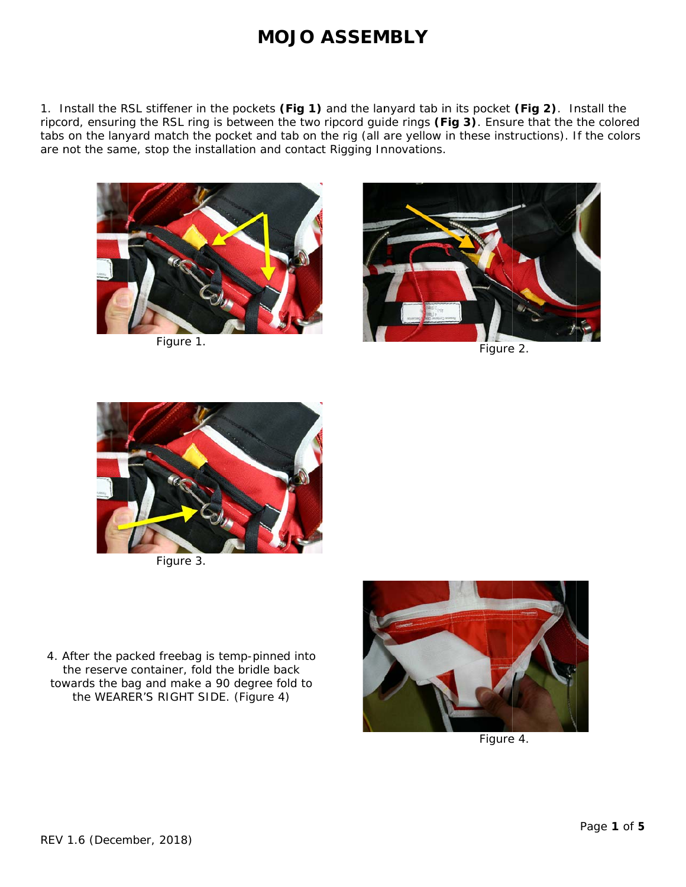1. Install the RSL stiffener in the pockets (Fig 1) and the lanyard tab in its pocket (Fig 2). Install the ripcord, ensuring the RSL ring is between the two ripcord guide rings (Fig 3). Ensure that the the colored tabs on the lanyard match the pocket and tab on the rig (all are yellow in these instructions). If the colors are not the same, stop the installation and contact Rigging Innovations.



Figure 1.



Figure 2.



Figure 3.

4. After the packed freebag is temp-pinned into the reserve container, fold the bridle back towards the bag and make a 90 degree fold to the WEARER'S RIGHT SIDE. (Figure 4)



Figure 4.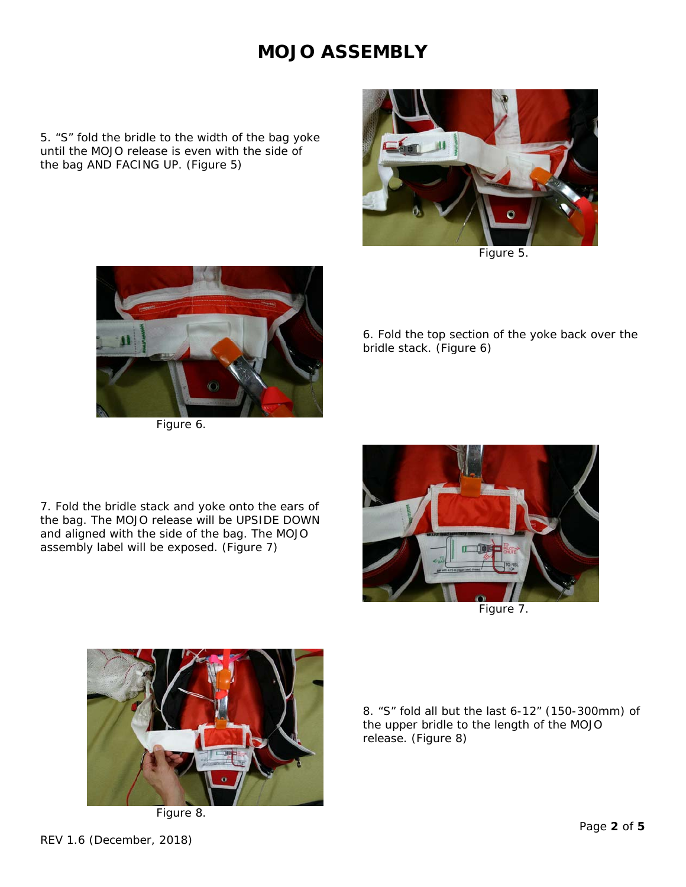5. "S" fold the bridle to the width of the bag yoke until the MOJO release is even with the side of the bag AND FACING UP. (*Figure 5*)



*Figure 5.*



*Figure 6.* 

6. Fold the top section of the yoke back over the bridle stack. (*Figure 6*)

7. Fold the bridle stack and yoke onto the ears of the bag. The MOJO release will be UPSIDE DOWN and aligned with the side of the bag. The MOJO assembly label will be exposed. (*Figure 7*)





*Figure 8.* 

8. "S" fold all but the last 6-12" (150-300mm) of the upper bridle to the length of the MOJO release. (*Figure 8*)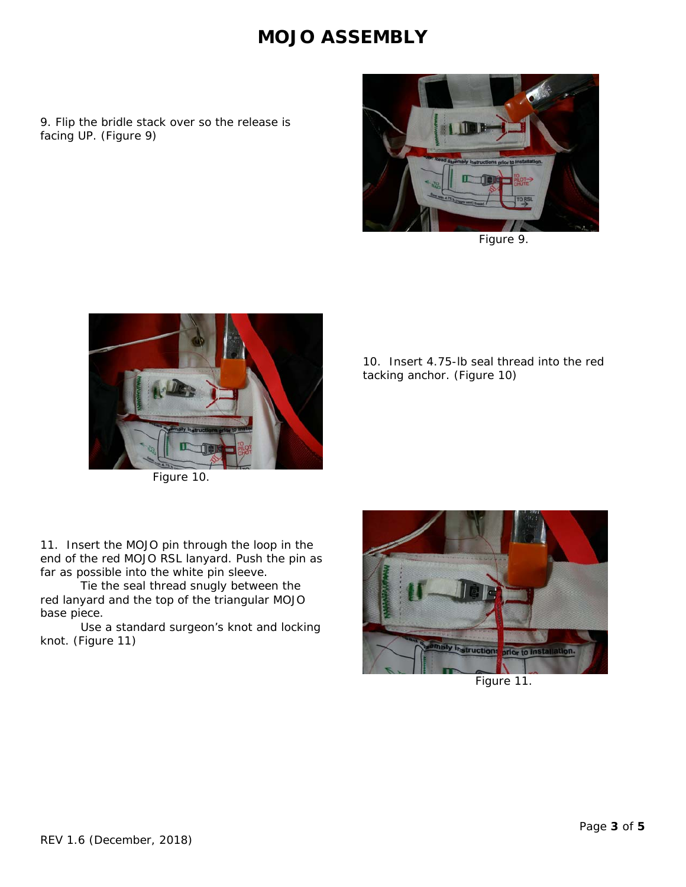9. Flip the bridle stack over so the release is facing UP. (*Figure 9*)



*Figure 9.*



*Figure 10.*

10. Insert 4.75-lb seal thread into the red tacking anchor. (*Figure 10*)

11. Insert the MOJO pin through the loop in the end of the red MOJO RSL lanyard. Push the pin as far as possible into the white pin sleeve.

 Tie the seal thread snugly between the red lanyard and the top of the triangular MOJO base piece.

 Use a standard surgeon's knot and locking knot. (*Figure 11*)



*Figure 11.*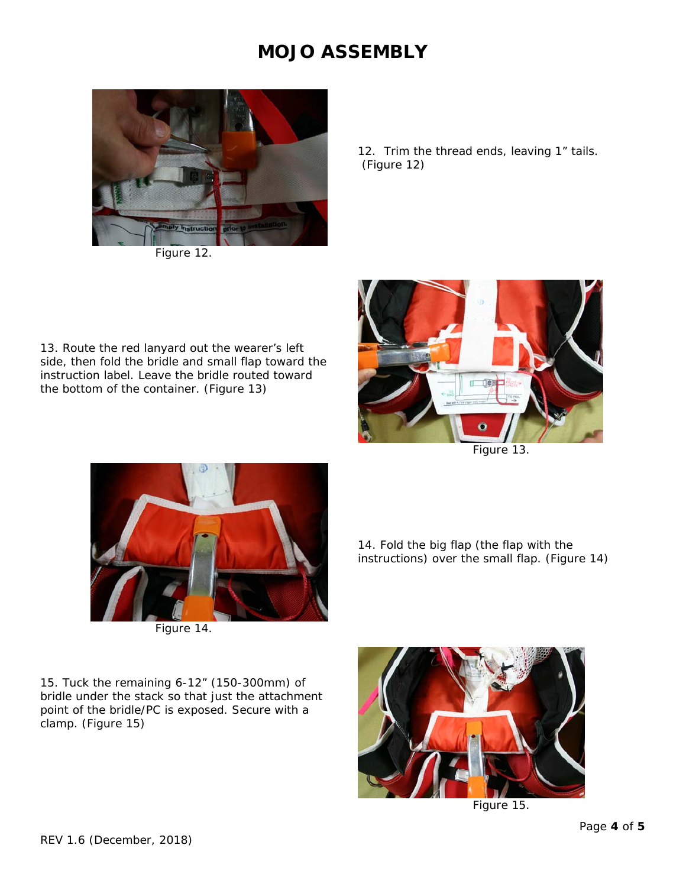

*Figure 12.* 

12. Trim the thread ends, leaving 1" tails. (*Figure 12*)

13. Route the red lanyard out the wearer's left side, then fold the bridle and small flap toward the instruction label. Leave the bridle routed toward the bottom of the container. (*Figure 13*)





*Figure 14.* 

14. Fold the big flap (the flap with the instructions) over the small flap. (*Figure 14*)

15. Tuck the remaining 6-12" (150-300mm) of bridle under the stack so that just the attachment point of the bridle/PC is exposed. Secure with a clamp. (*Figure 15*)



*Figure 15.*